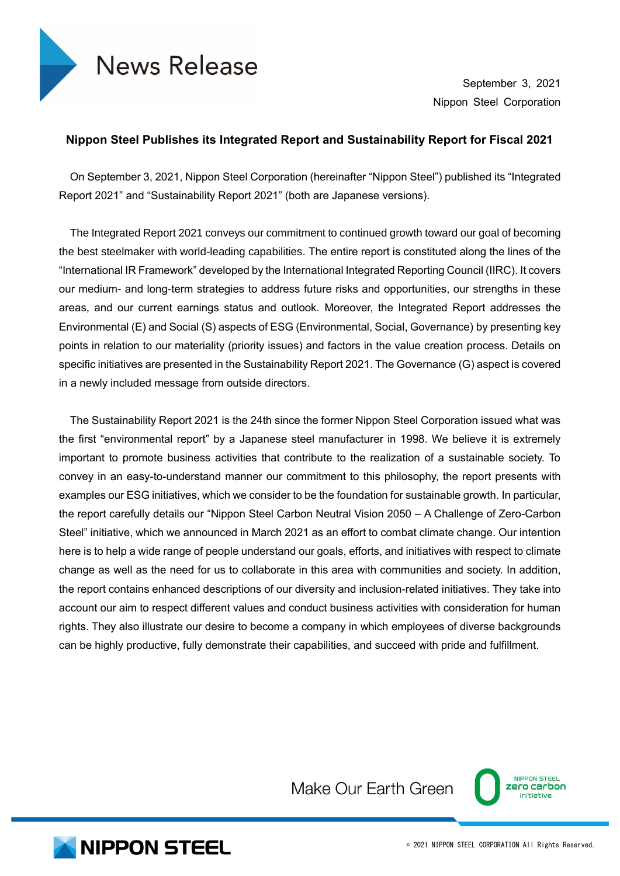

September 3, 2021 Nippon Steel Corporation

## **Nippon Steel Publishes its Integrated Report and Sustainability Report for Fiscal 2021**

On September 3, 2021, Nippon Steel Corporation (hereinafter "Nippon Steel") published its "Integrated Report 2021" and "Sustainability Report 2021" (both are Japanese versions).

The Integrated Report 2021 conveys our commitment to continued growth toward our goal of becoming the best steelmaker with world-leading capabilities. The entire report is constituted along the lines of the "International IR Framework" developed by the International Integrated Reporting Council (IIRC). It covers our medium- and long-term strategies to address future risks and opportunities, our strengths in these areas, and our current earnings status and outlook. Moreover, the Integrated Report addresses the Environmental (E) and Social (S) aspects of ESG (Environmental, Social, Governance) by presenting key points in relation to our materiality (priority issues) and factors in the value creation process. Details on specific initiatives are presented in the Sustainability Report 2021. The Governance (G) aspect is covered in a newly included message from outside directors.

The Sustainability Report 2021 is the 24th since the former Nippon Steel Corporation issued what was the first "environmental report" by a Japanese steel manufacturer in 1998. We believe it is extremely important to promote business activities that contribute to the realization of a sustainable society. To convey in an easy-to-understand manner our commitment to this philosophy, the report presents with examples our ESG initiatives, which we consider to be the foundation for sustainable growth. In particular, the report carefully details our "Nippon Steel Carbon Neutral Vision 2050 – A Challenge of Zero-Carbon Steel" initiative, which we announced in March 2021 as an effort to combat climate change. Our intention here is to help a wide range of people understand our goals, efforts, and initiatives with respect to climate change as well as the need for us to collaborate in this area with communities and society. In addition, the report contains enhanced descriptions of our diversity and inclusion-related initiatives. They take into account our aim to respect different values and conduct business activities with consideration for human rights. They also illustrate our desire to become a company in which employees of diverse backgrounds can be highly productive, fully demonstrate their capabilities, and succeed with pride and fulfillment.



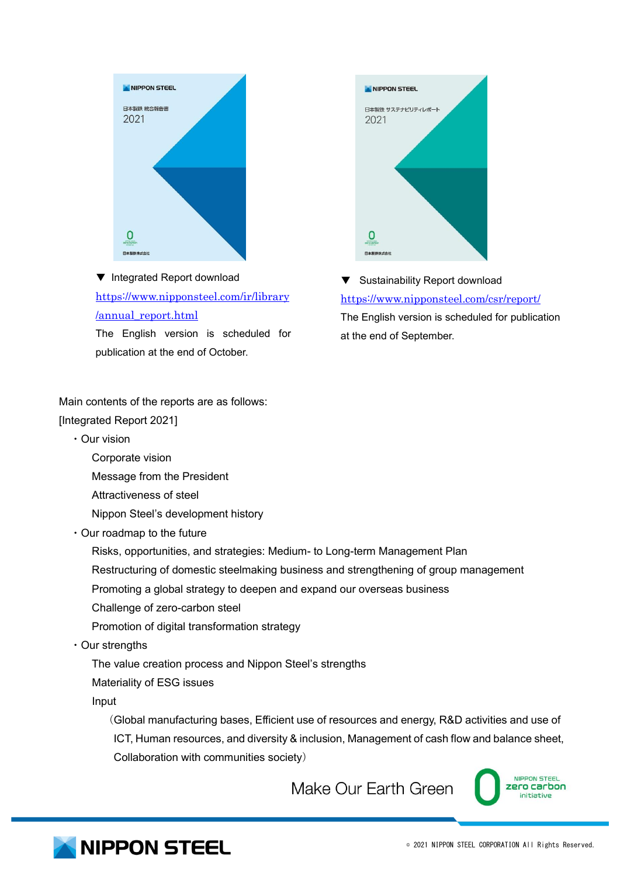

▼ Integrated Report download [https://www.nipponsteel.com/ir/library](https://www.nipponsteel.com/ir/library/annual_report.html) [/annual\\_report.html](https://www.nipponsteel.com/ir/library/annual_report.html)

The English version is scheduled for publication at the end of October.



Sustainability Report download <https://www.nipponsteel.com/csr/report/> The English version is scheduled for publication at the end of September.

Main contents of the reports are as follows:

[Integrated Report 2021]

- ・Our vision
	- Corporate vision
	- Message from the President
	- Attractiveness of steel
	- Nippon Steel's development history
- ・Our roadmap to the future
	- Risks, opportunities, and strategies: Medium- to Long-term Management Plan Restructuring of domestic steelmaking business and strengthening of group management Promoting a global strategy to deepen and expand our overseas business Challenge of zero-carbon steel
	- Promotion of digital transformation strategy
- ・Our strengths

The value creation process and Nippon Steel's strengths

Materiality of ESG issues

Input

(Global manufacturing bases, Efficient use of resources and energy, R&D activities and use of ICT, Human resources, and diversity & inclusion, Management of cash flow and balance sheet, Collaboration with communities society)



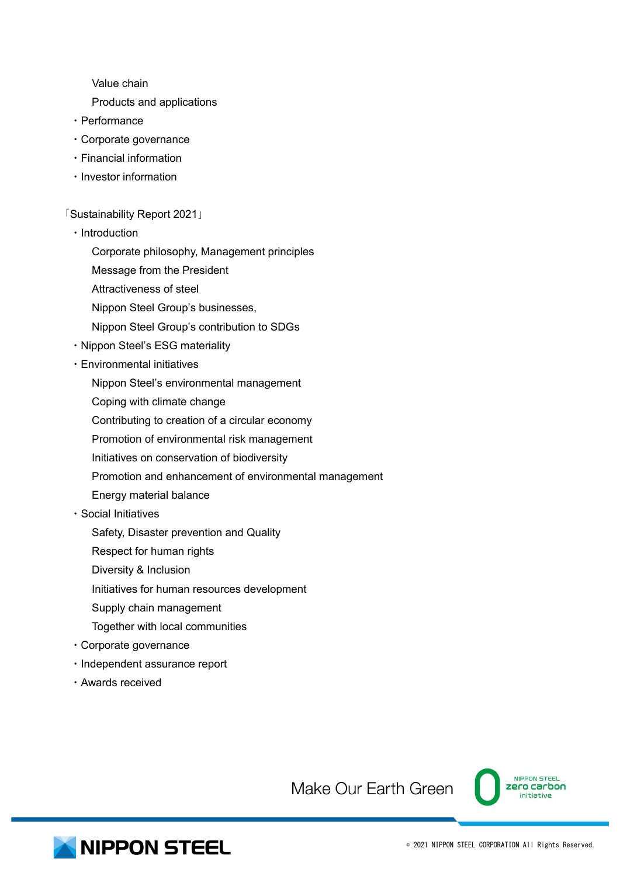Value chain

- Products and applications
- ・Performance
- ・Corporate governance
- ・Financial information
- ・Investor information

「Sustainability Report 2021」

- ・Introduction
	- Corporate philosophy, Management principles
	- Message from the President
	- Attractiveness of steel
	- Nippon Steel Group's businesses,
	- Nippon Steel Group's contribution to SDGs
- ・Nippon Steel's ESG materiality
- ・Environmental initiatives
	- Nippon Steel's environmental management
	- Coping with climate change
	- Contributing to creation of a circular economy
	- Promotion of environmental risk management
	- Initiatives on conservation of biodiversity
	- Promotion and enhancement of environmental management
	- Energy material balance
- ・Social Initiatives
	- Safety, Disaster prevention and Quality
	- Respect for human rights
	- Diversity & Inclusion
	- Initiatives for human resources development
	- Supply chain management
	- Together with local communities
- ・Corporate governance
- ・Independent assurance report
- ・Awards received